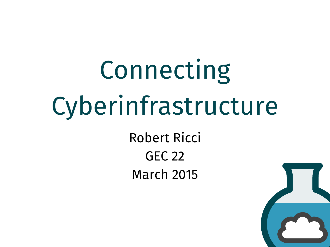# Connecting Cyberinfrastructure

Robert Ricci GEC 22 March 2015

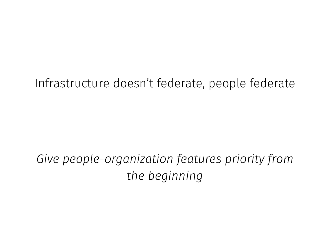#### Infrastructure doesn't federate, people federate

## *Give people-organization features priority from the beginning*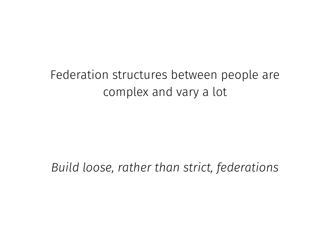## Federation structures between people are complex and vary a lot

#### *Build loose, rather than strict, federations*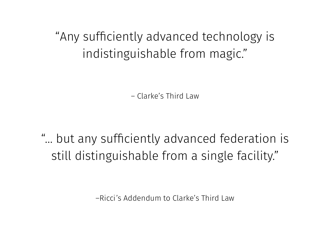"Any sufficiently advanced technology is indistinguishable from magic."

– Clarke's Third Law

"… but any sufficiently advanced federation is still distinguishable from a single facility."

–Ricci's Addendum to Clarke's Third Law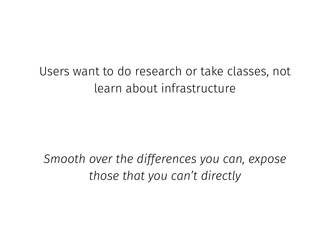### Users want to do research or take classes, not learn about infrastructure

*Smooth over the differences you can, expose those that you can't directly*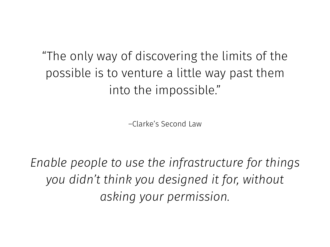"The only way of discovering the limits of the possible is to venture a little way past them into the impossible."

–Clarke's Second Law

*Enable people to use the infrastructure for things you didn't think you designed it for, without asking your permission.*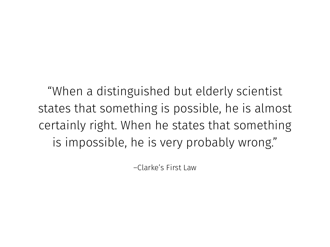"When a distinguished but elderly scientist states that something is possible, he is almost certainly right. When he states that something is impossible, he is very probably wrong."

–Clarke's First Law